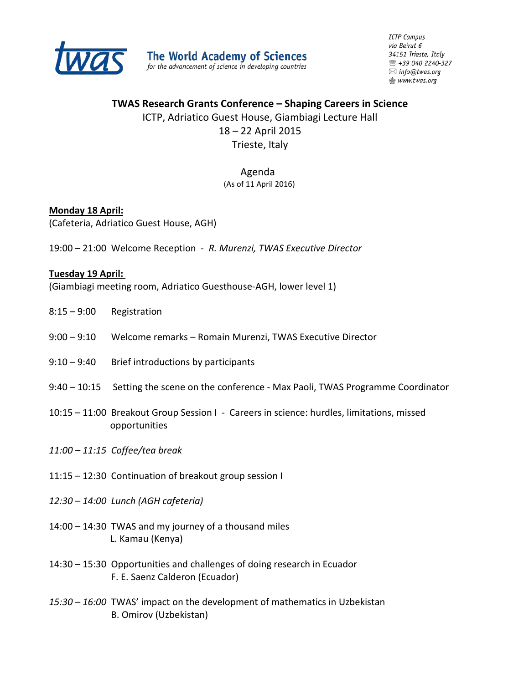

**ICTP Campus** via Beirut 6 34151 Trieste, Italy ■ +39 040 2240-327  $\boxtimes$  info@twas.org **愈 www.twas.org** 

### **TWAS Research Grants Conference – Shaping Careers in Science**

ICTP, Adriatico Guest House, Giambiagi Lecture Hall

# 18 – 22 April 2015

Trieste, Italy

# Agenda

# (As of 11 April 2016)

## **Monday 18 April:**

(Cafeteria, Adriatico Guest House, AGH)

19:00 – 21:00 Welcome Reception - *R. Murenzi, TWAS Executive Director*

### **Tuesday 19 April:**

(Giambiagi meeting room, Adriatico Guesthouse-AGH, lower level 1)

- 8:15 9:00 Registration
- 9:00 9:10 Welcome remarks Romain Murenzi, TWAS Executive Director
- $9:10 9:40$  Brief introductions by participants
- 9:40 10:15 Setting the scene on the conference Max Paoli, TWAS Programme Coordinator
- 10:15 11:00Breakout Group Session I Careers in science: hurdles, limitations, missed opportunities
- *11:00 – 11:15 Coffee/tea break*
- 11:15 12:30 Continuation of breakout group session I
- *12:30 – 14:00 Lunch (AGH cafeteria)*
- 14:00 14:30 TWAS and my journey of a thousand miles L. Kamau (Kenya)
- 14:30 15:30 Opportunities and challenges of doing research in Ecuador F. E. Saenz Calderon (Ecuador)
- *15:30 – 16:00* TWAS' impact on the development of mathematics in Uzbekistan B. Omirov (Uzbekistan)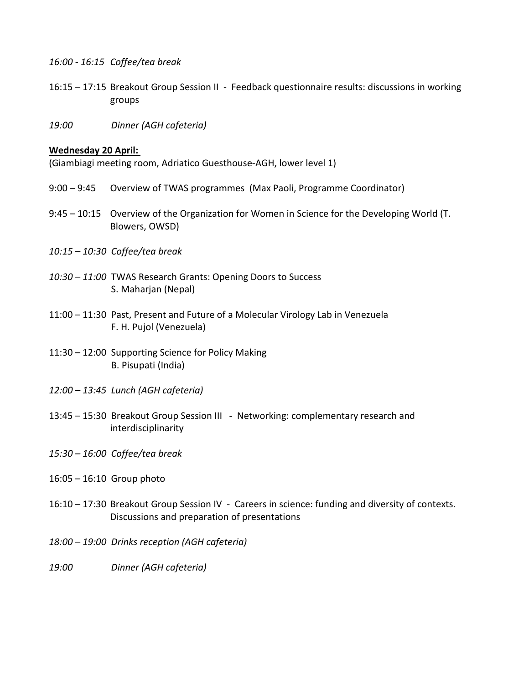- *16:00 - 16:15 Coffee/tea break*
- 16:15 17:15 Breakout Group Session II Feedback questionnaire results: discussions in working groups
- *19:00 Dinner (AGH cafeteria)*

#### **Wednesday 20 April:**

(Giambiagi meeting room, Adriatico Guesthouse-AGH, lower level 1)

- 9:00 9:45 Overview of TWAS programmes (Max Paoli, Programme Coordinator)
- 9:45 10:15 Overview of the Organization for Women in Science for the Developing World (T. Blowers, OWSD)
- *10:15 – 10:30 Coffee/tea break*
- *10:30 – 11:00* TWAS Research Grants: Opening Doors to Success S. Maharjan (Nepal)
- 11:00 11:30 Past, Present and Future of a Molecular Virology Lab in Venezuela F. H. Pujol (Venezuela)
- 11:30 12:00 Supporting Science for Policy Making B. Pisupati (India)
- *12:00 – 13:45 Lunch (AGH cafeteria)*
- 13:45 15:30 Breakout Group Session III Networking: complementary research and interdisciplinarity
- *15:30 – 16:00 Coffee/tea break*
- 16:05 16:10 Group photo
- 16:10 17:30 Breakout Group Session IV Careers in science: funding and diversity of contexts. Discussions and preparation of presentations
- *18:00 – 19:00 Drinks reception (AGH cafeteria)*
- *19:00 Dinner (AGH cafeteria)*